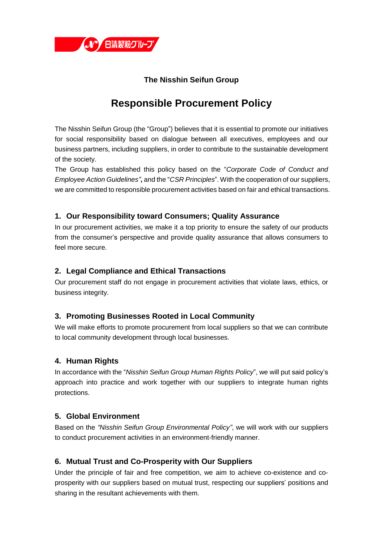

## **The Nisshin Seifun Group**

# **Responsible Procurement Policy**

The Nisshin Seifun Group (the "Group") believes that it is essential to promote our initiatives for social responsibility based on dialogue between all executives, employees and our business partners, including suppliers, in order to contribute to the sustainable development of the society.

The Group has established this policy based on the "*Corporate Code of Conduct and Employee Action Guidelines"***,** and the "*CSR Principles*". With the cooperation of our suppliers, we are committed to responsible procurement activities based on fair and ethical transactions.

### **1. Our Responsibility toward Consumers; Quality Assurance**

In our procurement activities, we make it a top priority to ensure the safety of our products from the consumer's perspective and provide quality assurance that allows consumers to feel more secure.

## **2. Legal Compliance and Ethical Transactions**

Our procurement staff do not engage in procurement activities that violate laws, ethics, or business integrity.

#### **3. Promoting Businesses Rooted in Local Community**

We will make efforts to promote procurement from local suppliers so that we can contribute to local community development through local businesses.

#### **4. Human Rights**

In accordance with the "*Nisshin Seifun Group Human Rights Policy*", we will put said policy's approach into practice and work together with our suppliers to integrate human rights protections.

## **5. Global Environment**

Based on the *"Nisshin Seifun Group Environmental Policy"*, we will work with our suppliers to conduct procurement activities in an environment-friendly manner.

#### **6. Mutual Trust and Co-Prosperity with Our Suppliers**

Under the principle of fair and free competition, we aim to achieve co-existence and coprosperity with our suppliers based on mutual trust, respecting our suppliers' positions and sharing in the resultant achievements with them.